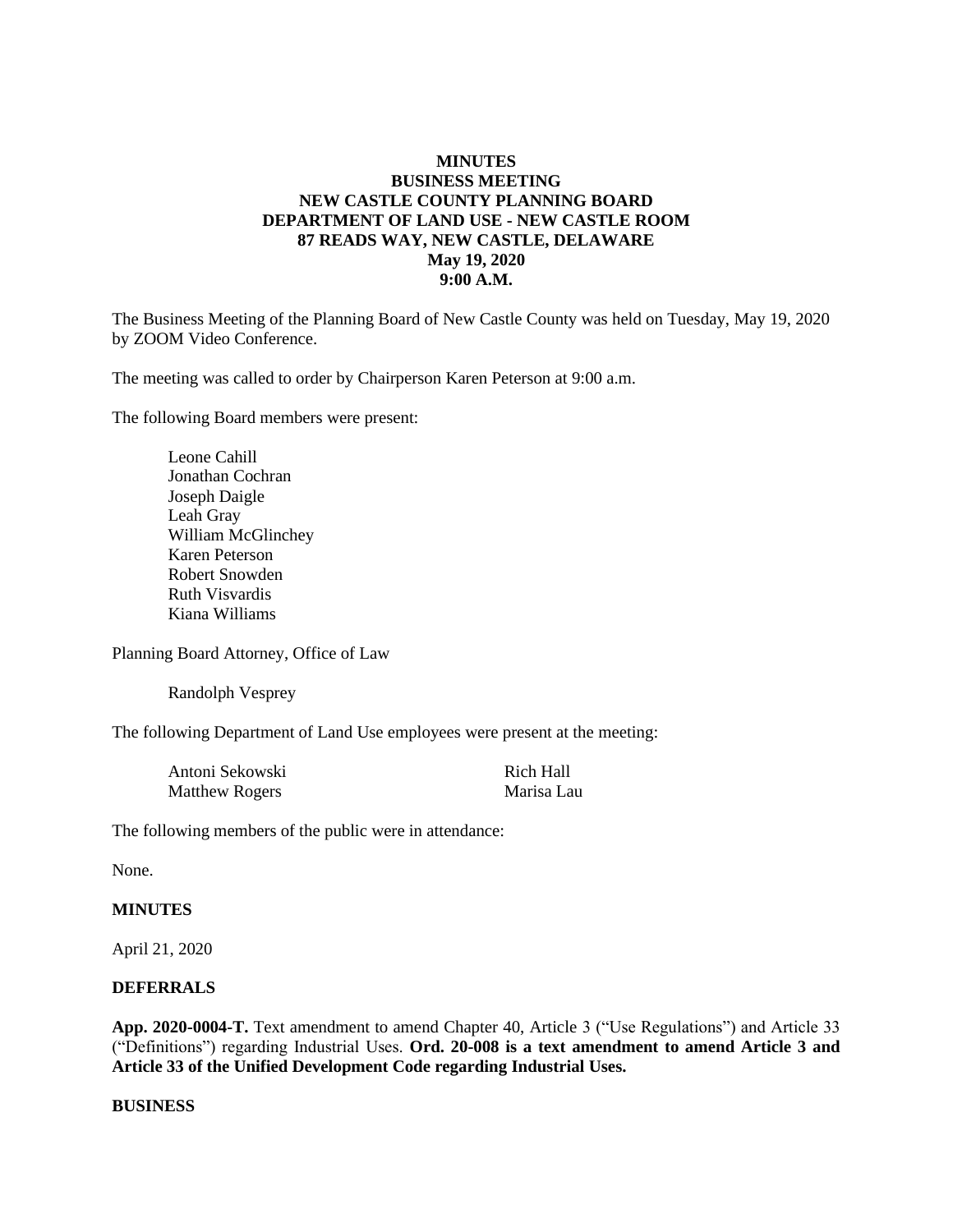## **MINUTES BUSINESS MEETING NEW CASTLE COUNTY PLANNING BOARD DEPARTMENT OF LAND USE - NEW CASTLE ROOM 87 READS WAY, NEW CASTLE, DELAWARE May 19, 2020 9:00 A.M.**

The Business Meeting of the Planning Board of New Castle County was held on Tuesday, May 19, 2020 by ZOOM Video Conference.

The meeting was called to order by Chairperson Karen Peterson at 9:00 a.m.

The following Board members were present:

Leone Cahill Jonathan Cochran Joseph Daigle Leah Gray William McGlinchey Karen Peterson Robert Snowden Ruth Visvardis Kiana Williams

Planning Board Attorney, Office of Law

Randolph Vesprey

The following Department of Land Use employees were present at the meeting:

| Antoni Sekowski       | Rich Hall  |
|-----------------------|------------|
| <b>Matthew Rogers</b> | Marisa Lau |

The following members of the public were in attendance:

None.

### **MINUTES**

April 21, 2020

#### **DEFERRALS**

**App. 2020-0004-T.** Text amendment to amend Chapter 40, Article 3 ("Use Regulations") and Article 33 ("Definitions") regarding Industrial Uses. **Ord. 20-008 is a text amendment to amend Article 3 and Article 33 of the Unified Development Code regarding Industrial Uses.**

#### **BUSINESS**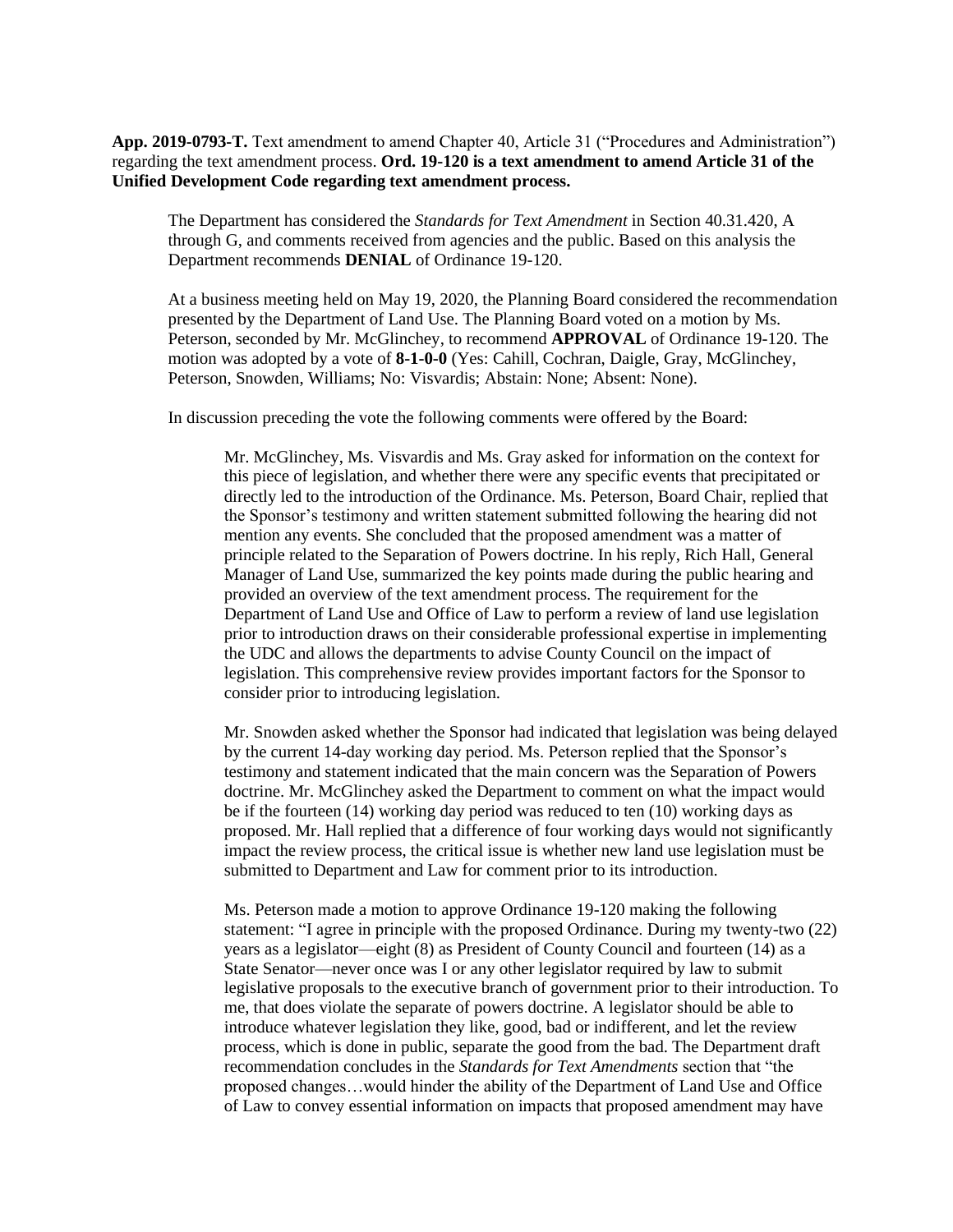**App. 2019-0793-T.** Text amendment to amend Chapter 40, Article 31 ("Procedures and Administration") regarding the text amendment process. **Ord. 19-120 is a text amendment to amend Article 31 of the Unified Development Code regarding text amendment process.**

The Department has considered the *Standards for Text Amendment* in Section 40.31.420, A through G, and comments received from agencies and the public. Based on this analysis the Department recommends **DENIAL** of Ordinance 19-120.

At a business meeting held on May 19, 2020, the Planning Board considered the recommendation presented by the Department of Land Use. The Planning Board voted on a motion by Ms. Peterson, seconded by Mr. McGlinchey, to recommend **APPROVAL** of Ordinance 19-120. The motion was adopted by a vote of **8-1-0-0** (Yes: Cahill, Cochran, Daigle, Gray, McGlinchey, Peterson, Snowden, Williams; No: Visvardis; Abstain: None; Absent: None).

In discussion preceding the vote the following comments were offered by the Board:

Mr. McGlinchey, Ms. Visvardis and Ms. Gray asked for information on the context for this piece of legislation, and whether there were any specific events that precipitated or directly led to the introduction of the Ordinance. Ms. Peterson, Board Chair, replied that the Sponsor's testimony and written statement submitted following the hearing did not mention any events. She concluded that the proposed amendment was a matter of principle related to the Separation of Powers doctrine. In his reply, Rich Hall, General Manager of Land Use, summarized the key points made during the public hearing and provided an overview of the text amendment process. The requirement for the Department of Land Use and Office of Law to perform a review of land use legislation prior to introduction draws on their considerable professional expertise in implementing the UDC and allows the departments to advise County Council on the impact of legislation. This comprehensive review provides important factors for the Sponsor to consider prior to introducing legislation.

Mr. Snowden asked whether the Sponsor had indicated that legislation was being delayed by the current 14-day working day period. Ms. Peterson replied that the Sponsor's testimony and statement indicated that the main concern was the Separation of Powers doctrine. Mr. McGlinchey asked the Department to comment on what the impact would be if the fourteen (14) working day period was reduced to ten (10) working days as proposed. Mr. Hall replied that a difference of four working days would not significantly impact the review process, the critical issue is whether new land use legislation must be submitted to Department and Law for comment prior to its introduction.

Ms. Peterson made a motion to approve Ordinance 19-120 making the following statement: "I agree in principle with the proposed Ordinance. During my twenty-two (22) years as a legislator—eight (8) as President of County Council and fourteen (14) as a State Senator—never once was I or any other legislator required by law to submit legislative proposals to the executive branch of government prior to their introduction. To me, that does violate the separate of powers doctrine. A legislator should be able to introduce whatever legislation they like, good, bad or indifferent, and let the review process, which is done in public, separate the good from the bad. The Department draft recommendation concludes in the *Standards for Text Amendments* section that "the proposed changes…would hinder the ability of the Department of Land Use and Office of Law to convey essential information on impacts that proposed amendment may have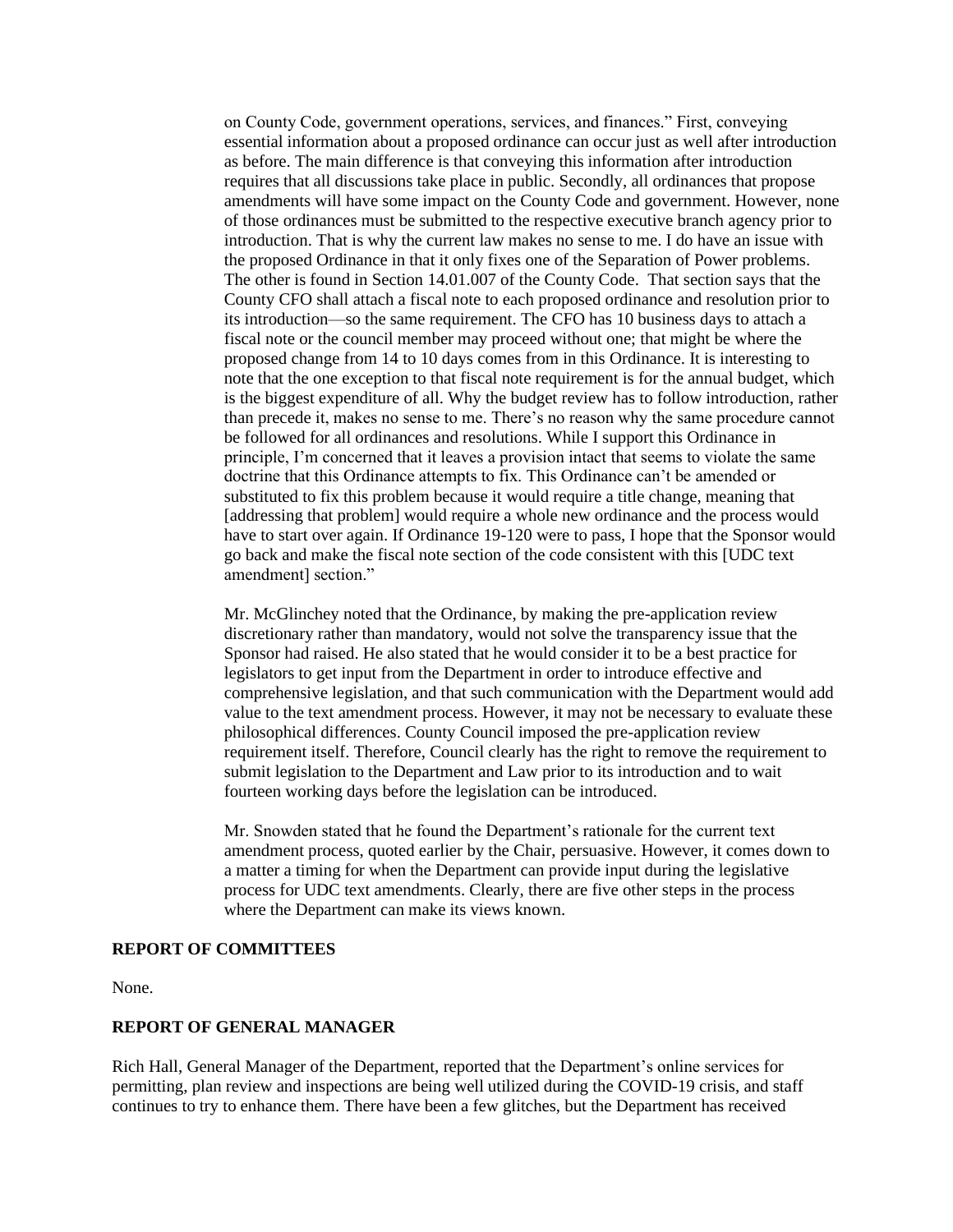on County Code, government operations, services, and finances." First, conveying essential information about a proposed ordinance can occur just as well after introduction as before. The main difference is that conveying this information after introduction requires that all discussions take place in public. Secondly, all ordinances that propose amendments will have some impact on the County Code and government. However, none of those ordinances must be submitted to the respective executive branch agency prior to introduction. That is why the current law makes no sense to me. I do have an issue with the proposed Ordinance in that it only fixes one of the Separation of Power problems. The other is found in Section 14.01.007 of the County Code. That section says that the County CFO shall attach a fiscal note to each proposed ordinance and resolution prior to its introduction—so the same requirement. The CFO has 10 business days to attach a fiscal note or the council member may proceed without one; that might be where the proposed change from 14 to 10 days comes from in this Ordinance. It is interesting to note that the one exception to that fiscal note requirement is for the annual budget, which is the biggest expenditure of all. Why the budget review has to follow introduction, rather than precede it, makes no sense to me. There's no reason why the same procedure cannot be followed for all ordinances and resolutions. While I support this Ordinance in principle, I'm concerned that it leaves a provision intact that seems to violate the same doctrine that this Ordinance attempts to fix. This Ordinance can't be amended or substituted to fix this problem because it would require a title change, meaning that [addressing that problem] would require a whole new ordinance and the process would have to start over again. If Ordinance 19-120 were to pass, I hope that the Sponsor would go back and make the fiscal note section of the code consistent with this [UDC text amendment] section."

Mr. McGlinchey noted that the Ordinance, by making the pre-application review discretionary rather than mandatory, would not solve the transparency issue that the Sponsor had raised. He also stated that he would consider it to be a best practice for legislators to get input from the Department in order to introduce effective and comprehensive legislation, and that such communication with the Department would add value to the text amendment process. However, it may not be necessary to evaluate these philosophical differences. County Council imposed the pre-application review requirement itself. Therefore, Council clearly has the right to remove the requirement to submit legislation to the Department and Law prior to its introduction and to wait fourteen working days before the legislation can be introduced.

Mr. Snowden stated that he found the Department's rationale for the current text amendment process, quoted earlier by the Chair, persuasive. However, it comes down to a matter a timing for when the Department can provide input during the legislative process for UDC text amendments. Clearly, there are five other steps in the process where the Department can make its views known.

#### **REPORT OF COMMITTEES**

None.

## **REPORT OF GENERAL MANAGER**

Rich Hall, General Manager of the Department, reported that the Department's online services for permitting, plan review and inspections are being well utilized during the COVID-19 crisis, and staff continues to try to enhance them. There have been a few glitches, but the Department has received